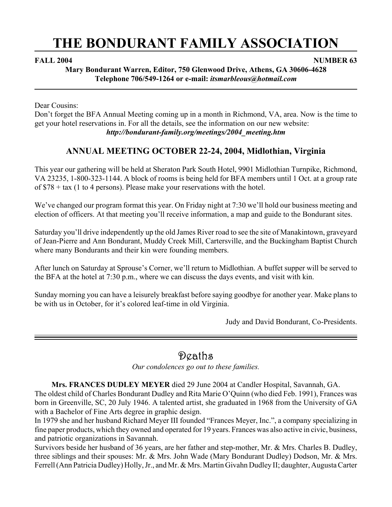# **THE BONDURANT FAMILY ASSOCIATION**

**FALL 2004** NUMBER 63

**Mary Bondurant Warren, Editor, 750 Glenwood Drive, Athens, GA 30606-4628 Telephone 706/549-1264 or e-mail:** *itsmarbleous@hotmail.com*

Dear Cousins:

Don't forget the BFA Annual Meeting coming up in a month in Richmond, VA, area. Now is the time to get your hotel reservations in. For all the details, see the information on our new website: *http://bondurant-family.org/meetings/2004\_meeting.htm*

# **ANNUAL MEETING OCTOBER 22-24, 2004, Midlothian, Virginia**

This year our gathering will be held at Sheraton Park South Hotel, 9901 Midlothian Turnpike, Richmond, VA 23235, 1-800-323-1144. A block of rooms is being held for BFA members until 1 Oct. at a group rate of \$78 + tax (1 to 4 persons). Please make your reservations with the hotel.

We've changed our program format this year. On Friday night at 7:30 we'll hold our business meeting and election of officers. At that meeting you'll receive information, a map and guide to the Bondurant sites.

Saturday you'll drive independently up the old James River road to see the site of Manakintown, graveyard of Jean-Pierre and Ann Bondurant, Muddy Creek Mill, Cartersville, and the Buckingham Baptist Church where many Bondurants and their kin were founding members.

After lunch on Saturday at Sprouse's Corner, we'll return to Midlothian. A buffet supper will be served to the BFA at the hotel at 7:30 p.m., where we can discuss the days events, and visit with kin.

Sunday morning you can have a leisurely breakfast before saying goodbye for another year. Make plans to be with us in October, for it's colored leaf-time in old Virginia.

Judy and David Bondurant, Co-Presidents.

# Deaths

*Our condolences go out to these families.*

**Mrs. FRANCES DUDLEY MEYER** died 29 June 2004 at Candler Hospital, Savannah, GA.

The oldest child of Charles Bondurant Dudley and Rita Marie O'Quinn (who died Feb. 1991), Frances was born in Greenville, SC, 20 July 1946. A talented artist, she graduated in 1968 from the University of GA with a Bachelor of Fine Arts degree in graphic design.

In 1979 she and her husband Richard Meyer III founded "Frances Meyer, Inc.", a company specializing in fine paper products, which they owned and operated for 19 years. Frances was also active in civic, business, and patriotic organizations in Savannah.

Survivors beside her husband of 36 years, are her father and step-mother, Mr. & Mrs. Charles B. Dudley, three siblings and their spouses: Mr. & Mrs. John Wade (Mary Bondurant Dudley) Dodson, Mr. & Mrs. Ferrell (Ann Patricia Dudley) Holly, Jr., and Mr. & Mrs. Martin Givahn Dudley II; daughter, Augusta Carter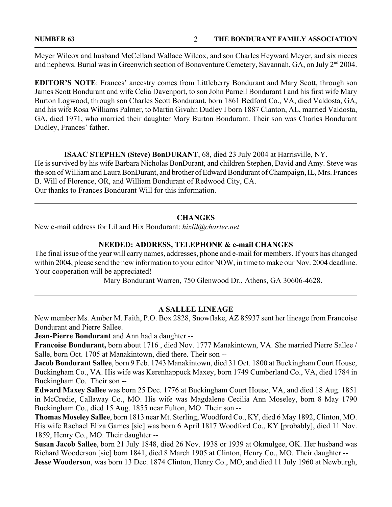Meyer Wilcox and husband McCelland Wallace Wilcox, and son Charles Heyward Meyer, and six nieces and nephews. Burial was in Greenwich section of Bonaventure Cemetery, Savannah, GA, on July 2<sup>nd</sup> 2004.

**EDITOR'S NOTE**: Frances' ancestry comes from Littleberry Bondurant and Mary Scott, through son James Scott Bondurant and wife Celia Davenport, to son John Parnell Bondurant I and his first wife Mary Burton Logwood, through son Charles Scott Bondurant, born 1861 Bedford Co., VA, died Valdosta, GA, and his wife Rosa Williams Palmer, to Martin Givahn Dudley I born 1887 Clanton, AL, married Valdosta, GA, died 1971, who married their daughter Mary Burton Bondurant. Their son was Charles Bondurant Dudley, Frances' father.

# **ISAAC STEPHEN (Steve) BonDURANT**, 68, died 23 July 2004 at Harrisville, NY.

He is survived by his wife Barbara Nicholas BonDurant, and children Stephen, David and Amy. Steve was the son of William and Laura BonDurant, and brother of Edward Bondurant of Champaign, IL, Mrs. Frances B. Will of Florence, OR, and William Bondurant of Redwood City, CA. Our thanks to Frances Bondurant Will for this information.

# **CHANGES**

New e-mail address for Lil and Hix Bondurant: *hixlil@charter.net*

# **NEEDED: ADDRESS, TELEPHONE & e-mail CHANGES**

The final issue of the year will carry names, addresses, phone and e-mail for members. If yours has changed within 2004, please send the new information to your editor NOW, in time to make our Nov. 2004 deadline. Your cooperation will be appreciated!

Mary Bondurant Warren, 750 Glenwood Dr., Athens, GA 30606-4628.

# **A SALLEE LINEAGE**

New member Ms. Amber M. Faith, P.O. Box 2828, Snowflake, AZ 85937 sent her lineage from Francoise Bondurant and Pierre Sallee.

**Jean-Pierre Bondurant** and Ann had a daughter --

**Francoise Bondurant,** born about 1716 , died Nov. 1777 Manakintown, VA. She married Pierre Sallee / Salle, born Oct. 1705 at Manakintown, died there. Their son --

**Jacob Bondurant Sallee**, born 9 Feb. 1743 Manakintown, died 31 Oct. 1800 at Buckingham Court House, Buckingham Co., VA. His wife was Kerenhappuck Maxey, born 1749 Cumberland Co., VA, died 1784 in Buckingham Co. Their son --

**Edward Maxey Sallee** was born 25 Dec. 1776 at Buckingham Court House, VA, and died 18 Aug. 1851 in McCredie, Callaway Co., MO. His wife was Magdalene Cecilia Ann Moseley, born 8 May 1790 Buckingham Co., died 15 Aug. 1855 near Fulton, MO. Their son --

**Thomas Moseley Sallee**, born 1813 near Mt. Sterling, Woodford Co., KY, died 6 May 1892, Clinton, MO. His wife Rachael Eliza Games [sic] was born 6 April 1817 Woodford Co., KY [probably], died 11 Nov. 1859, Henry Co., MO. Their daughter --

**Susan Jacob Sallee**, born 21 July 1848, died 26 Nov. 1938 or 1939 at Okmulgee, OK. Her husband was Richard Wooderson [sic] born 1841, died 8 March 1905 at Clinton, Henry Co., MO. Their daughter -- **Jesse Wooderson**, was born 13 Dec. 1874 Clinton, Henry Co., MO, and died 11 July 1960 at Newburgh,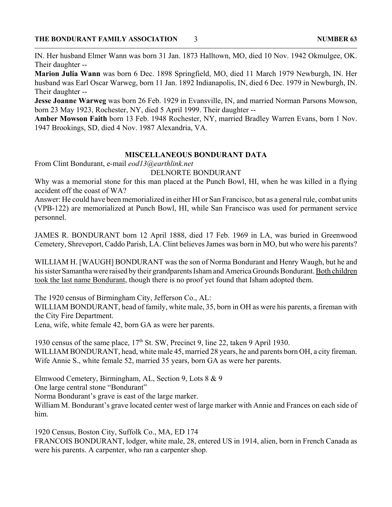IN. Her husband Elmer Wann was born 31 Jan. 1873 Halltown, MO, died 10 Nov. 1942 Okmulgee, OK. Their daughter --

**Marion Julia Wann** was born 6 Dec. 1898 Springfield, MO, died 11 March 1979 Newburgh, IN. Her husband was Earl Oscar Warweg, born 11 Jan. 1892 Indianapolis, IN, died 6 Dec. 1979 in Newburgh, IN. Their daughter --

**Jesse Joanne Warweg** was born 26 Feb. 1929 in Evansville, IN, and married Norman Parsons Mowson, born 23 May 1923, Rochester, NY, died 5 April 1999. Their daughter --

**Amber Mowson Faith** born 13 Feb. 1948 Rochester, NY, married Bradley Warren Evans, born 1 Nov. 1947 Brookings, SD, died 4 Nov. 1987 Alexandria, VA.

# **MISCELLANEOUS BONDURANT DATA**

From Clint Bondurant, e-mail *eod13@earthlink.net*

### DELNORTE BONDURANT

Why was a memorial stone for this man placed at the Punch Bowl, HI, when he was killed in a flying accident off the coast of WA?

Answer: He could have been memorialized in either HI or San Francisco, but as a general rule, combat units (VPB-122) are memorialized at Punch Bowl, HI, while San Francisco was used for permanent service personnel.

JAMES R. BONDURANT born 12 April 1888, died 17 Feb. 1969 in LA, was buried in Greenwood Cemetery, Shreveport, Caddo Parish, LA. Clint believes James was born in MO, but who were his parents?

WILLIAM H. [WAUGH] BONDURANT was the son of Norma Bondurant and Henry Waugh, but he and his sister Samantha were raised by their grandparents Isham and America Grounds Bondurant. Both children took the last name Bondurant, though there is no proof yet found that Isham adopted them.

The 1920 census of Birmingham City, Jefferson Co., AL:

WILLIAM BONDURANT, head of family, white male, 35, born in OH as were his parents, a fireman with the City Fire Department.

Lena, wife, white female 42, born GA as were her parents.

1930 census of the same place, 17<sup>th</sup> St. SW, Precinct 9, line 22, taken 9 April 1930. WILLIAM BONDURANT, head, white male 45, married 28 years, he and parents born OH, a city fireman. Wife Annie S., white female 52, married 35 years, born GA as were her parents.

Elmwood Cemetery, Birmingham, AL, Section 9, Lots 8 & 9

One large central stone "Bondurant"

Norma Bondurant's grave is east of the large marker.

William M. Bondurant's grave located center west of large marker with Annie and Frances on each side of him.

1920 Census, Boston City, Suffolk Co., MA, ED 174 FRANCOIS BONDURANT, lodger, white male, 28, entered US in 1914, alien, born in French Canada as were his parents. A carpenter, who ran a carpenter shop.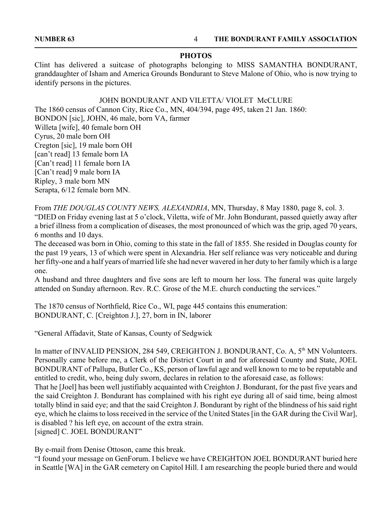### **PHOTOS**

Clint has delivered a suitcase of photographs belonging to MISS SAMANTHA BONDURANT, granddaughter of Isham and America Grounds Bondurant to Steve Malone of Ohio, who is now trying to identify persons in the pictures.

### JOHN BONDURANT AND VILETTA/ VIOLET McCLURE

The 1860 census of Cannon City, Rice Co., MN, 404/394, page 495, taken 21 Jan. 1860: BONDON [sic], JOHN, 46 male, born VA, farmer Willeta [wife], 40 female born OH Cyrus, 20 male born OH Cregton [sic], 19 male born OH [can't read] 13 female born IA [Can't read] 11 female born IA [Can't read] 9 male born IA Ripley, 3 male born MN Serapta, 6/12 female born MN.

From *THE DOUGLAS COUNTY NEWS, ALEXANDRIA*, MN, Thursday, 8 May 1880, page 8, col. 3. "DIED on Friday evening last at 5 o'clock, Viletta, wife of Mr. John Bondurant, passed quietly away after a brief illness from a complication of diseases, the most pronounced of which was the grip, aged 70 years, 6 months and 10 days.

The deceased was born in Ohio, coming to this state in the fall of 1855. She resided in Douglas county for the past 19 years, 13 of which were spent in Alexandria. Her self reliance was very noticeable and during her fifty-one and a half years of married life she had never wavered in her duty to her family which is a large one.

A husband and three daughters and five sons are left to mourn her loss. The funeral was quite largely attended on Sunday afternoon. Rev. R.C. Grose of the M.E. church conducting the services."

The 1870 census of Northfield, Rice Co., WI, page 445 contains this enumeration: BONDURANT, C. [Creighton J.], 27, born in IN, laborer

"General Affadavit, State of Kansas, County of Sedgwick

In matter of INVALID PENSION, 284 549, CREIGHTON J. BONDURANT, Co. A, 5<sup>th</sup> MN Volunteers. Personally came before me, a Clerk of the District Court in and for aforesaid County and State, JOEL BONDURANT of Pallupa, Butler Co., KS, person of lawful age and well known to me to be reputable and entitled to credit, who, being duly sworn, declares in relation to the aforesaid case, as follows: That he [Joel] has been well justifiably acquainted with Creighton J. Bondurant, for the past five years and the said Creighton J. Bondurant has complained with his right eye during all of said time, being almost totally blind in said eye; and that the said Creighton J. Bondurant by right of the blindness of his said right eye, which he claims to loss received in the service of the United States [in the GAR during the Civil War], is disabled ? his left eye, on account of the extra strain. [signed] C. JOEL BONDURANT"

By e-mail from Denise Ottoson, came this break.

"I found your message on GenForum. I believe we have CREIGHTON JOEL BONDURANT buried here in Seattle [WA] in the GAR cemetery on Capitol Hill. I am researching the people buried there and would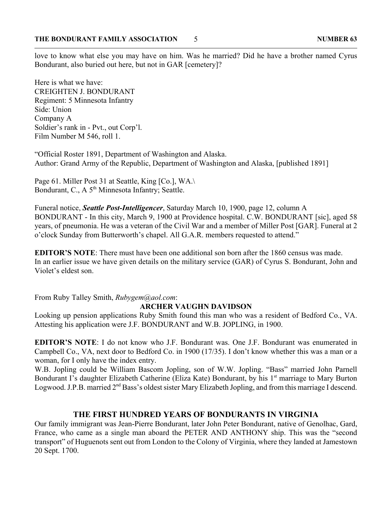love to know what else you may have on him. Was he married? Did he have a brother named Cyrus Bondurant, also buried out here, but not in GAR [cemetery]?

Here is what we have: CREIGHTEN J. BONDURANT Regiment: 5 Minnesota Infantry Side: Union Company A Soldier's rank in - Pvt., out Corp'l. Film Number M 546, roll 1.

"Official Roster 1891, Department of Washington and Alaska. Author: Grand Army of the Republic, Department of Washington and Alaska, [published 1891]

Page 61. Miller Post 31 at Seattle, King [Co.], WA. Bondurant, C., A 5<sup>th</sup> Minnesota Infantry; Seattle.

Funeral notice, *Seattle Post-Intelligencer*, Saturday March 10, 1900, page 12, column A BONDURANT - In this city, March 9, 1900 at Providence hospital. C.W. BONDURANT [sic], aged 58 years, of pneumonia. He was a veteran of the Civil War and a member of Miller Post [GAR]. Funeral at 2 o'clock Sunday from Butterworth's chapel. All G.A.R. members requested to attend."

**EDITOR'S NOTE**: There must have been one additional son born after the 1860 census was made. In an earlier issue we have given details on the military service (GAR) of Cyrus S. Bondurant, John and Violet's eldest son.

From Ruby Talley Smith, *Rubygem@aol.com*:

# **ARCHER VAUGHN DAVIDSON**

Looking up pension applications Ruby Smith found this man who was a resident of Bedford Co., VA. Attesting his application were J.F. BONDURANT and W.B. JOPLING, in 1900.

**EDITOR'S NOTE**: I do not know who J.F. Bondurant was. One J.F. Bondurant was enumerated in Campbell Co., VA, next door to Bedford Co. in 1900 (17/35). I don't know whether this was a man or a woman, for I only have the index entry.

W.B. Jopling could be William Bascom Jopling, son of W.W. Jopling. "Bass" married John Parnell Bondurant I's daughter Elizabeth Catherine (Eliza Kate) Bondurant, by his 1<sup>st</sup> marriage to Mary Burton Logwood. J.P.B. married 2<sup>nd</sup> Bass's oldest sister Mary Elizabeth Jopling, and from this marriage I descend.

# **THE FIRST HUNDRED YEARS OF BONDURANTS IN VIRGINIA**

Our family immigrant was Jean-Pierre Bondurant, later John Peter Bondurant, native of Genolhac, Gard, France, who came as a single man aboard the PETER AND ANTHONY ship. This was the "second transport" of Huguenots sent out from London to the Colony of Virginia, where they landed at Jamestown 20 Sept. 1700.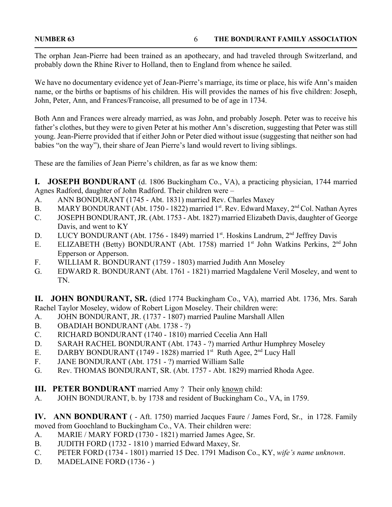The orphan Jean-Pierre had been trained as an apothecary, and had traveled through Switzerland, and probably down the Rhine River to Holland, then to England from whence he sailed.

We have no documentary evidence yet of Jean-Pierre's marriage, its time or place, his wife Ann's maiden name, or the births or baptisms of his children. His will provides the names of his five children: Joseph, John, Peter, Ann, and Frances/Francoise, all presumed to be of age in 1734.

Both Ann and Frances were already married, as was John, and probably Joseph. Peter was to receive his father's clothes, but they were to given Peter at his mother Ann's discretion, suggesting that Peter was still young. Jean-Pierre provided that if either John or Peter died without issue (suggesting that neither son had babies "on the way"), their share of Jean Pierre's land would revert to living siblings.

These are the families of Jean Pierre's children, as far as we know them:

**I. JOSEPH BONDURANT** (d. 1806 Buckingham Co., VA), a practicing physician, 1744 married Agnes Radford, daughter of John Radford. Their children were –

- A. ANN BONDURANT (1745 Abt. 1831) married Rev. Charles Maxey
- B. MARY BONDURANT (Abt. 1750 1822) married  $1<sup>st</sup>$ . Rev. Edward Maxey,  $2<sup>nd</sup>$  Col. Nathan Ayres
- C. JOSEPH BONDURANT, JR. (Abt. 1753 Abt. 1827) married Elizabeth Davis, daughter of George Davis, and went to KY
- D. LUCY BONDURANT (Abt. 1756 1849) married 1<sup>st</sup>. Hoskins Landrum, 2<sup>nd</sup> Jeffrey Davis
- E. ELIZABETH (Betty) BONDURANT (Abt. 1758) married 1<sup>st</sup> John Watkins Perkins, 2<sup>nd</sup> John Epperson or Apperson.
- F. WILLIAM R. BONDURANT (1759 1803) married Judith Ann Moseley
- G. EDWARD R. BONDURANT (Abt. 1761 1821) married Magdalene Veril Moseley, and went to TN.

**II. JOHN BONDURANT, SR.** (died 1774 Buckingham Co., VA), married Abt. 1736, Mrs. Sarah Rachel Taylor Moseley, widow of Robert Ligon Moseley. Their children were:

- A. JOHN BONDURANT, JR. (1737 1807) married Pauline Marshall Allen
- B. OBADIAH BONDURANT (Abt. 1738 ?)
- C. RICHARD BONDURANT (1740 1810) married Cecelia Ann Hall
- D. SARAH RACHEL BONDURANT (Abt. 1743 ?) married Arthur Humphrey Moseley
- E. DARBY BONDURANT (1749 1828) married  $1<sup>st</sup>$  Ruth Agee,  $2<sup>nd</sup>$  Lucy Hall
- F. JANE BONDURANT (Abt. 1751 ?) married William Salle
- G. Rev. THOMAS BONDURANT, SR. (Abt. 1757 Abt. 1829) married Rhoda Agee.
- **III. PETER BONDURANT** married Amy ? Their only known child:
- A. JOHN BONDURANT, b. by 1738 and resident of Buckingham Co., VA, in 1759.

**IV. ANN BONDURANT** ( - Aft. 1750) married Jacques Faure / James Ford, Sr., in 1728. Family moved from Goochland to Buckingham Co., VA. Their children were:

- A. MARIE / MARY FORD (1730 1821) married James Agee, Sr.
- B. JUDITH FORD (1732 1810 ) married Edward Maxey, Sr.
- C. PETER FORD (1734 1801) married 15 Dec. 1791 Madison Co., KY, *wife's name unknown*.
- D. MADELAINE FORD (1736 )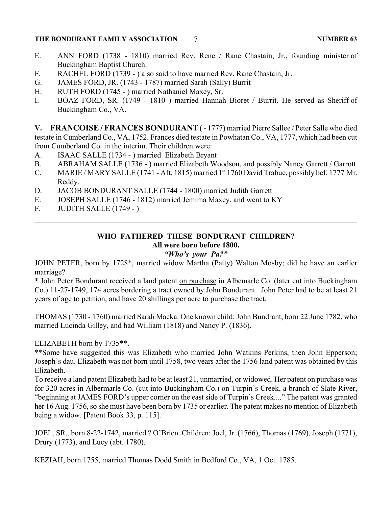- E. ANN FORD (1738 1810) married Rev. Rene / Rane Chastain, Jr., founding minister of Buckingham Baptist Church.
- F. RACHEL FORD (1739 ) also said to have married Rev. Rane Chastain, Jr.
- G. JAMES FORD, JR. (1743 1787) married Sarah (Sally) Burrit
- H. RUTH FORD (1745 ) married Nathaniel Maxey, Sr.
- I. BOAZ FORD, SR. (1749 1810 ) married Hannah Bioret / Burrit. He served as Sheriff of Buckingham Co., VA.

**V. FRANCOISE / FRANCES BONDURANT** ( - 1777) married Pierre Sallee / Peter Salle who died testate in Cumberland Co., VA, 1752. Frances died testate in Powhatan Co., VA, 1777, which had been cut from Cumberland Co. in the interim. Their children were:

- A. ISAAC SALLE (1734 ) married Elizabeth Bryant
- B. ABRAHAM SALLE (1736 ) married Elizabeth Woodson, and possibly Nancy Garrett / Garrott
- C. MARIE / MARY SALLE (1741 Aft. 1815) married 1<sup>st</sup> 1760 David Trabue, possibly bef. 1777 Mr. Reddy.
- D. JACOB BONDURANT SALLE (1744 1800) married Judith Garrett
- E. JOSEPH SALLE (1746 1812) married Jemima Maxey, and went to KY
- F. JUDITH SALLE (1749 )

# **WHO FATHERED THESE BONDURANT CHILDREN? All were born before 1800.**

# *"Who's your Pa?"*

JOHN PETER, born by 1728\*, married widow Martha (Patty) Walton Mosby; did he have an earlier marriage?

\* John Peter Bondurant received a land patent on purchase in Albemarle Co. (later cut into Buckingham Co.) 11-27-1749, 174 acres bordering a tract owned by John Bondurant. John Peter had to be at least 21 years of age to petition, and have 20 shillings per acre to purchase the tract.

THOMAS (1730 - 1760) married Sarah Macka. One known child: John Bundrant, born 22 June 1782, who married Lucinda Gilley, and had William (1818) and Nancy P. (1836).

ELIZABETH born by 1735\*\*.

\*\*Some have suggested this was Elizabeth who married John Watkins Perkins, then John Epperson; Joseph's dau. Elizabeth was not born until 1758, two years after the 1756 land patent was obtained by this Elizabeth.

To receive a land patent Elizabeth had to be at least 21, unmarried, or widowed. Her patent on purchase was for 320 acres in Albermarle Co. (cut into Buckingham Co.) on Turpin's Creek, a branch of Slate River, "beginning at JAMES FORD's upper corner on the east side of Turpin's Creek...." The patent was granted her 16 Aug. 1756, so she must have been born by 1735 or earlier. The patent makes no mention of Elizabeth being a widow. [Patent Book 33, p. 115].

JOEL, SR., born 8-22-1742, married ? O'Brien. Children: Joel, Jr. (1766), Thomas (1769), Joseph (1771), Drury (1773), and Lucy (abt. 1780).

KEZIAH, born 1755, married Thomas Dodd Smith in Bedford Co., VA, 1 Oct. 1785.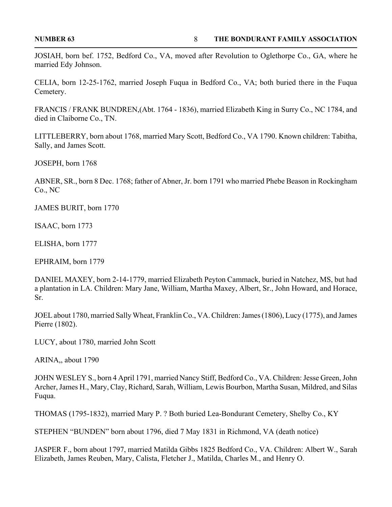JOSIAH, born bef. 1752, Bedford Co., VA, moved after Revolution to Oglethorpe Co., GA, where he married Edy Johnson.

CELIA, born 12-25-1762, married Joseph Fuqua in Bedford Co., VA; both buried there in the Fuqua Cemetery.

FRANCIS / FRANK BUNDREN,(Abt. 1764 - 1836), married Elizabeth King in Surry Co., NC 1784, and died in Claiborne Co., TN.

LITTLEBERRY, born about 1768, married Mary Scott, Bedford Co., VA 1790. Known children: Tabitha, Sally, and James Scott.

JOSEPH, born 1768

ABNER, SR., born 8 Dec. 1768; father of Abner, Jr. born 1791 who married Phebe Beason in Rockingham Co., NC

JAMES BURIT, born 1770

ISAAC, born 1773

ELISHA, born 1777

EPHRAIM, born 1779

DANIEL MAXEY, born 2-14-1779, married Elizabeth Peyton Cammack, buried in Natchez, MS, but had a plantation in LA. Children: Mary Jane, William, Martha Maxey, Albert, Sr., John Howard, and Horace, Sr.

JOEL about 1780, married Sally Wheat, Franklin Co., VA. Children: James (1806), Lucy (1775), and James Pierre (1802).

LUCY, about 1780, married John Scott

ARINA,, about 1790

JOHN WESLEY S., born 4 April 1791, married Nancy Stiff, Bedford Co., VA. Children: Jesse Green, John Archer, James H., Mary, Clay, Richard, Sarah, William, Lewis Bourbon, Martha Susan, Mildred, and Silas Fuqua.

THOMAS (1795-1832), married Mary P. ? Both buried Lea-Bondurant Cemetery, Shelby Co., KY

STEPHEN "BUNDEN" born about 1796, died 7 May 1831 in Richmond, VA (death notice)

JASPER F., born about 1797, married Matilda Gibbs 1825 Bedford Co., VA. Children: Albert W., Sarah Elizabeth, James Reuben, Mary, Calista, Fletcher J., Matilda, Charles M., and Henry O.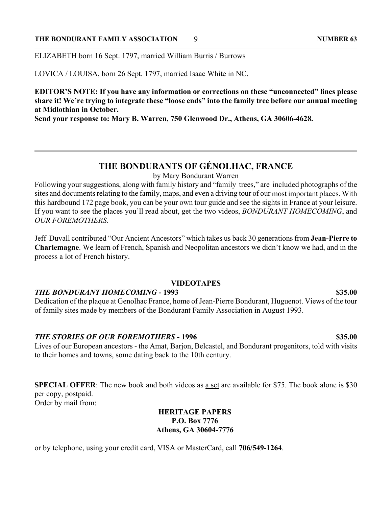ELIZABETH born 16 Sept. 1797, married William Burris / Burrows

LOVICA / LOUISA, born 26 Sept. 1797, married Isaac White in NC.

**EDITOR'S NOTE: If you have any information or corrections on these "unconnected" lines please share it! We're trying to integrate these "loose ends" into the family tree before our annual meeting at Midlothian in October.**

**Send your response to: Mary B. Warren, 750 Glenwood Dr., Athens, GA 30606-4628.**

# **THE BONDURANTS OF GÉNOLHAC, FRANCE**

by Mary Bondurant Warren

Following your suggestions, along with family history and "family trees," are included photographs of the sites and documents relating to the family, maps, and even a driving tour of <u>our</u> most important places. With this hardbound 172 page book, you can be your own tour guide and see the sights in France at your leisure. If you want to see the places you'll read about, get the two videos, *BONDURANT HOMECOMING*, and *OUR FOREMOTHERS*.

Jeff Duvall contributed "Our Ancient Ancestors" which takes us back 30 generations from **Jean-Pierre to Charlemagne**. We learn of French, Spanish and Neopolitan ancestors we didn't know we had, and in the process a lot of French history.

### **VIDEOTAPES**

# *THE BONDURANT HOMECOMING* **- 1993 \$35.00**

Dedication of the plaque at Genolhac France, home of Jean-Pierre Bondurant, Huguenot. Views of the tour of family sites made by members of the Bondurant Family Association in August 1993.

# *THE STORIES OF OUR FOREMOTHERS* **- 1996 \$35.00**

Lives of our European ancestors - the Amat, Barjon, Belcastel, and Bondurant progenitors, told with visits to their homes and towns, some dating back to the 10th century.

**SPECIAL OFFER:** The new book and both videos as a set are available for \$75. The book alone is \$30 per copy, postpaid. Order by mail from:

# **HERITAGE PAPERS P.O. Box 7776 Athens, GA 30604-7776**

or by telephone, using your credit card, VISA or MasterCard, call **706/549-1264**.